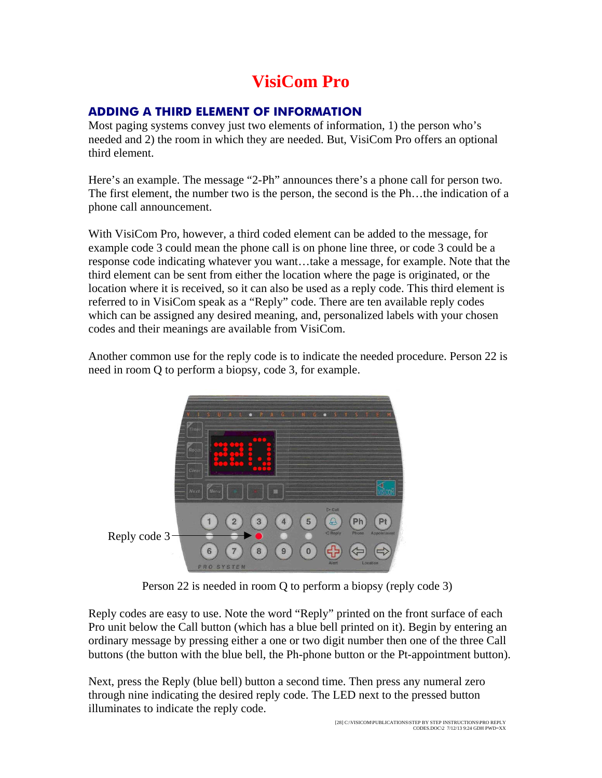# **VisiCom Pro**

### **ADDING A THIRD ELEMENT OF INFORMATION**

Most paging systems convey just two elements of information, 1) the person who's needed and 2) the room in which they are needed. But, VisiCom Pro offers an optional third element.

Here's an example. The message "2-Ph" announces there's a phone call for person two. The first element, the number two is the person, the second is the Ph…the indication of a phone call announcement.

With VisiCom Pro, however, a third coded element can be added to the message, for example code 3 could mean the phone call is on phone line three, or code 3 could be a response code indicating whatever you want…take a message, for example. Note that the third element can be sent from either the location where the page is originated, or the location where it is received, so it can also be used as a reply code. This third element is referred to in VisiCom speak as a "Reply" code. There are ten available reply codes which can be assigned any desired meaning, and, personalized labels with your chosen codes and their meanings are available from VisiCom.

Another common use for the reply code is to indicate the needed procedure. Person 22 is need in room Q to perform a biopsy, code 3, for example.



Person 22 is needed in room Q to perform a biopsy (reply code 3)

Reply codes are easy to use. Note the word "Reply" printed on the front surface of each Pro unit below the Call button (which has a blue bell printed on it). Begin by entering an ordinary message by pressing either a one or two digit number then one of the three Call buttons (the button with the blue bell, the Ph-phone button or the Pt-appointment button).

Next, press the Reply (blue bell) button a second time. Then press any numeral zero through nine indicating the desired reply code. The LED next to the pressed button illuminates to indicate the reply code.